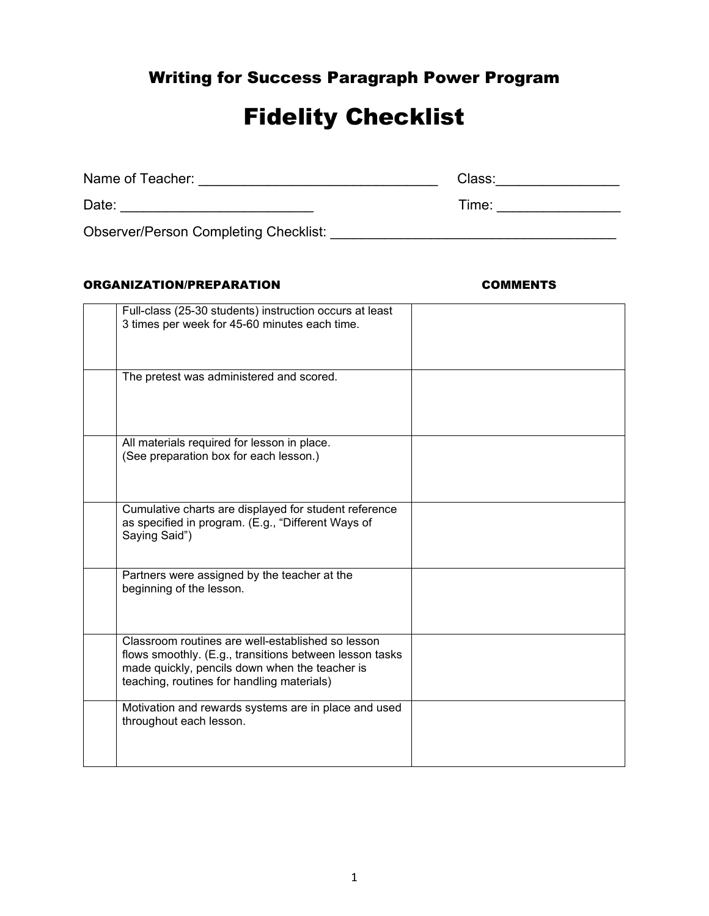## Writing for Success Paragraph Power Program

# Fidelity Checklist

| Name of Teacher:                             | Class: |
|----------------------------------------------|--------|
| Date:                                        | Time:  |
| <b>Observer/Person Completing Checklist:</b> |        |

#### ORGANIZATION/PREPARATION COMMENTS

| Full-class (25-30 students) instruction occurs at least<br>3 times per week for 45-60 minutes each time.                                                                                                     |  |
|--------------------------------------------------------------------------------------------------------------------------------------------------------------------------------------------------------------|--|
| The pretest was administered and scored.                                                                                                                                                                     |  |
| All materials required for lesson in place.<br>(See preparation box for each lesson.)                                                                                                                        |  |
| Cumulative charts are displayed for student reference<br>as specified in program. (E.g., "Different Ways of<br>Saying Said")                                                                                 |  |
| Partners were assigned by the teacher at the<br>beginning of the lesson.                                                                                                                                     |  |
| Classroom routines are well-established so lesson<br>flows smoothly. (E.g., transitions between lesson tasks<br>made quickly, pencils down when the teacher is<br>teaching, routines for handling materials) |  |
| Motivation and rewards systems are in place and used<br>throughout each lesson.                                                                                                                              |  |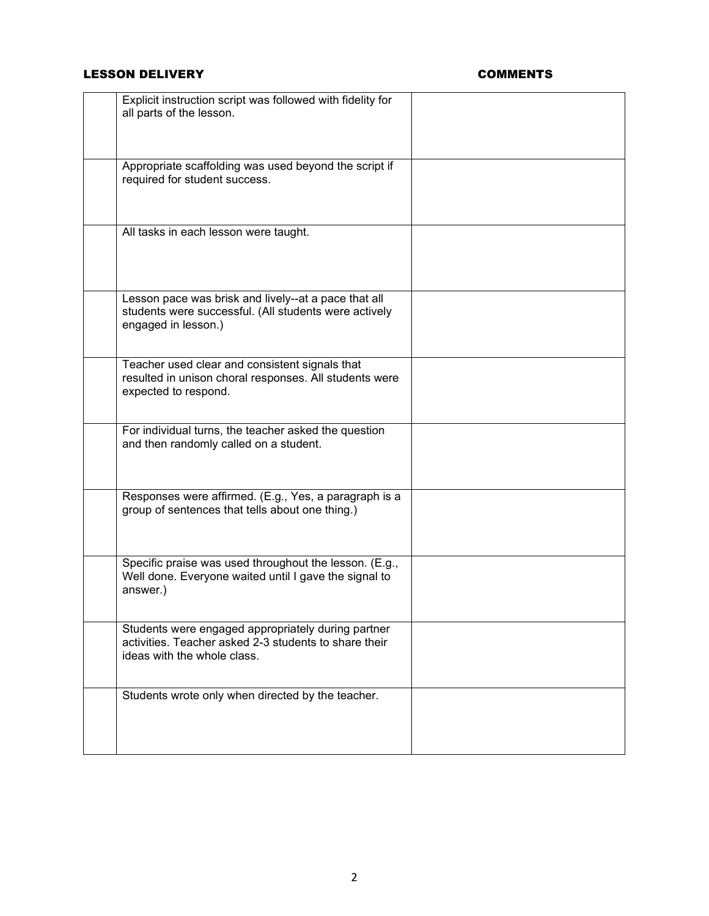### LESSON DELIVERY **COMMENTS**

| Explicit instruction script was followed with fidelity for<br>all parts of the lesson.                                                     |  |
|--------------------------------------------------------------------------------------------------------------------------------------------|--|
| Appropriate scaffolding was used beyond the script if<br>required for student success.                                                     |  |
| All tasks in each lesson were taught.                                                                                                      |  |
| Lesson pace was brisk and lively--at a pace that all<br>students were successful. (All students were actively<br>engaged in lesson.)       |  |
| Teacher used clear and consistent signals that<br>resulted in unison choral responses. All students were<br>expected to respond.           |  |
| For individual turns, the teacher asked the question<br>and then randomly called on a student.                                             |  |
| Responses were affirmed. (E.g., Yes, a paragraph is a<br>group of sentences that tells about one thing.)                                   |  |
| Specific praise was used throughout the lesson. (E.g.,<br>Well done. Everyone waited until I gave the signal to<br>answer.)                |  |
| Students were engaged appropriately during partner<br>activities. Teacher asked 2-3 students to share their<br>ideas with the whole class. |  |
| Students wrote only when directed by the teacher.                                                                                          |  |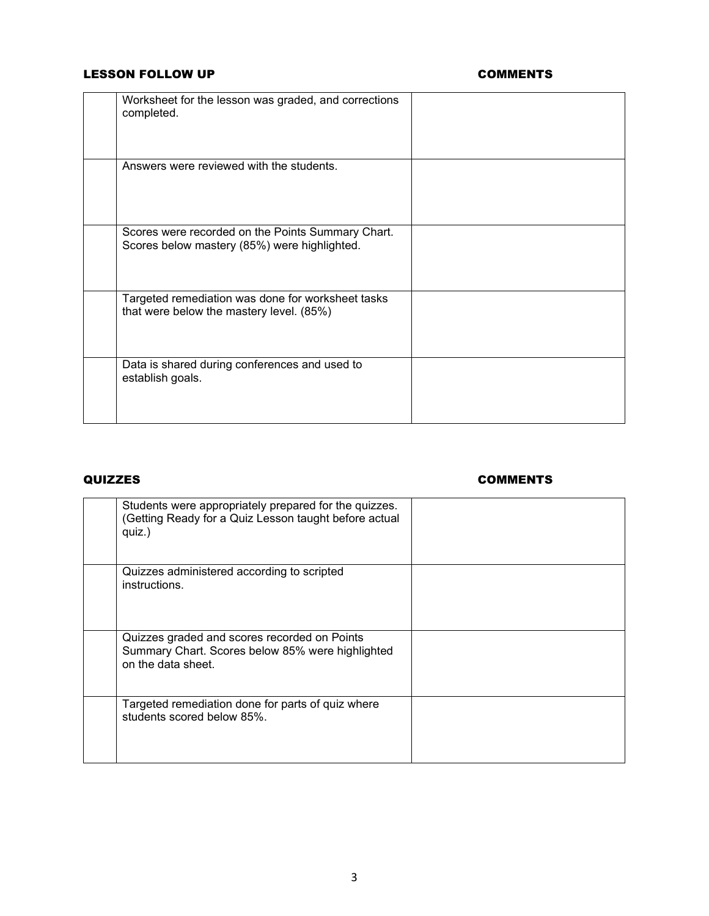### LESSON FOLLOW UP **COMMENTS**

| Worksheet for the lesson was graded, and corrections<br>completed.                                |  |
|---------------------------------------------------------------------------------------------------|--|
| Answers were reviewed with the students.                                                          |  |
| Scores were recorded on the Points Summary Chart.<br>Scores below mastery (85%) were highlighted. |  |
| Targeted remediation was done for worksheet tasks<br>that were below the mastery level. (85%)     |  |
| Data is shared during conferences and used to<br>establish goals.                                 |  |

### QUIZZES COMMENTS

| Students were appropriately prepared for the quizzes.<br>(Getting Ready for a Quiz Lesson taught before actual<br>quiz.) |  |
|--------------------------------------------------------------------------------------------------------------------------|--|
| Quizzes administered according to scripted<br>instructions.                                                              |  |
| Quizzes graded and scores recorded on Points<br>Summary Chart. Scores below 85% were highlighted<br>on the data sheet.   |  |
| Targeted remediation done for parts of quiz where<br>students scored below 85%.                                          |  |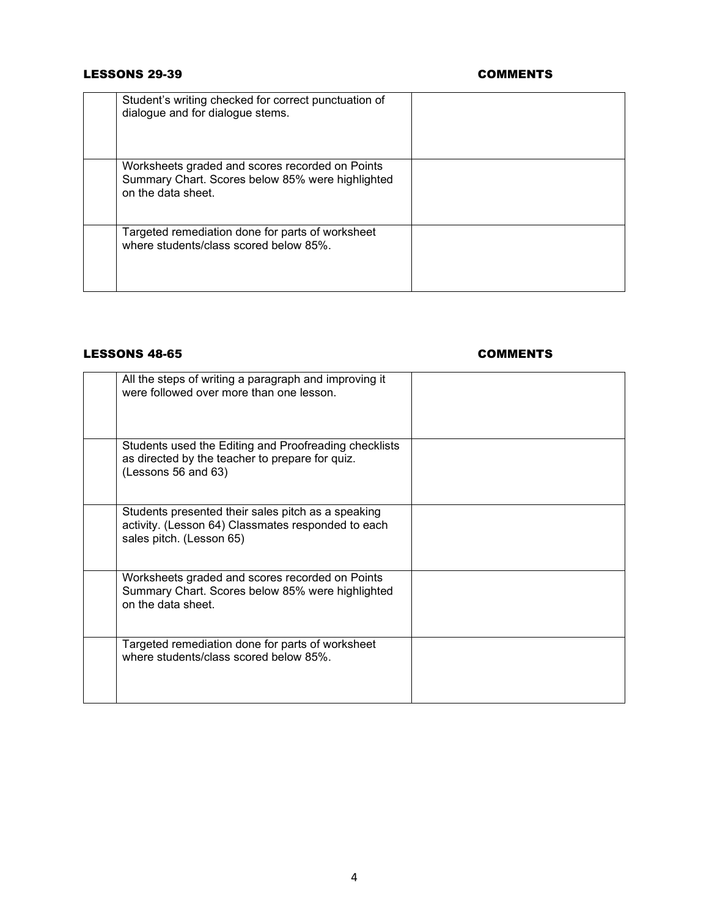#### LESSONS 29-39 COMMENTS

| Student's writing checked for correct punctuation of<br>dialogue and for dialogue stems.                                  |  |
|---------------------------------------------------------------------------------------------------------------------------|--|
| Worksheets graded and scores recorded on Points<br>Summary Chart. Scores below 85% were highlighted<br>on the data sheet. |  |
| Targeted remediation done for parts of worksheet<br>where students/class scored below 85%.                                |  |

### LESSONS 48-65 COMMENTS

| All the steps of writing a paragraph and improving it<br>were followed over more than one lesson.                                    |  |
|--------------------------------------------------------------------------------------------------------------------------------------|--|
| Students used the Editing and Proofreading checklists<br>as directed by the teacher to prepare for quiz.<br>(Lessons 56 and 63)      |  |
| Students presented their sales pitch as a speaking<br>activity. (Lesson 64) Classmates responded to each<br>sales pitch. (Lesson 65) |  |
| Worksheets graded and scores recorded on Points<br>Summary Chart. Scores below 85% were highlighted<br>on the data sheet.            |  |
| Targeted remediation done for parts of worksheet<br>where students/class scored below 85%.                                           |  |